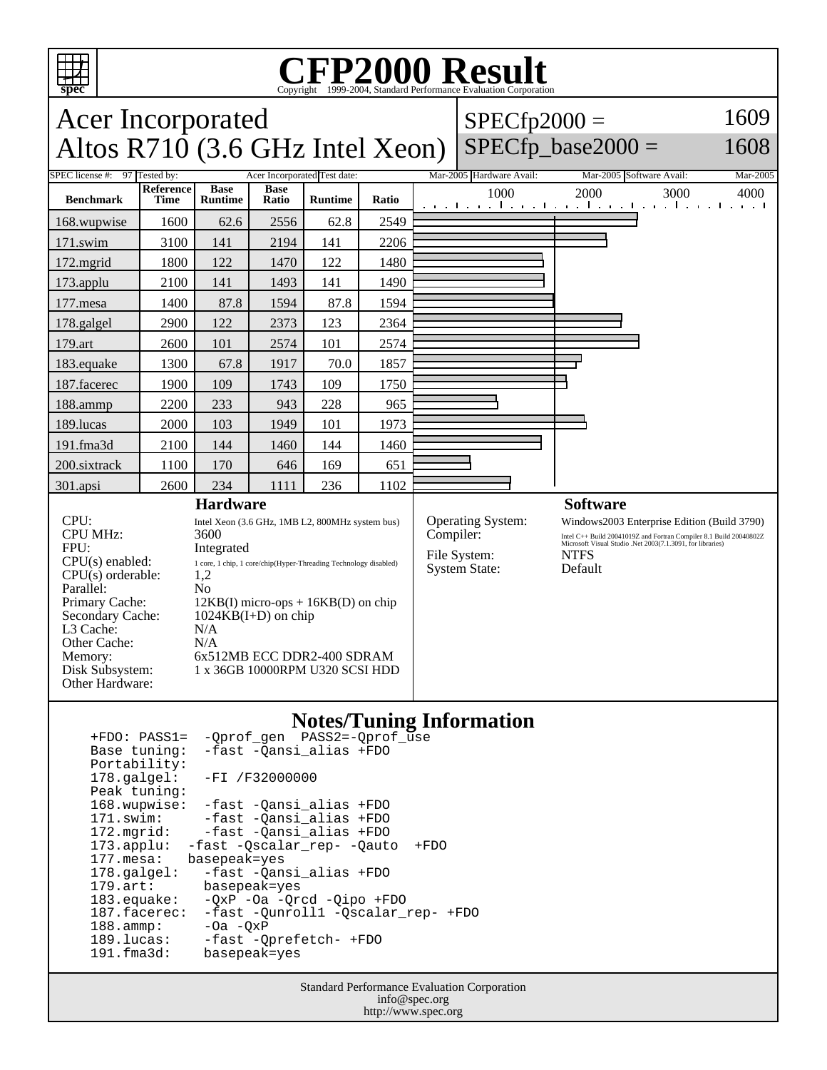

## **CFP2000 Result** Copyright ©1999-2004, Standard I

## Acer Incorporated Altos  $R710(3.6 \text{ GHz Intel Xeon})$  $SPECfp2000 =$  $SPECfp\_base2000 =$ 1609 1608 SPEC license #: 97 Tested by: Acer Incorporated Test date: Mar-2005 Hardware Avail: Mar-2005 Software Avail: Mar-2005 **Benchmark Reference Time Base Runtime Base Ratio Runtime Ratio** 1000 2000 3000 4000 168.wupwise 1600 62.6 2556 62.8 2549 171.swim | 3100 | 141 | 2194 | 141 | 2206 172.mgrid | 1800 | 122 | 1470 | 122 | 1480 173.applu | 2100 | 141 | 1493 | 141 | 1490 177.mesa | 1400 | 87.8 | 1594 | 87.8 | 1594 178.galgel | 2900 | 122 | 2373 | 123 | 2364 179.art 2600 101 2574 101 2574 183.equake 1300 67.8 1917 70.0 1857 187.facerec | 1900 | 109 | 1743 | 109 | 1750 188.ammp | 2200 | 233 | 943 | 228 | 965 189.lucas | 2000 | 103 | 1949 | 101 | 1973 191.fma3d 2100 144 1460 144 1460 200.sixtrack 1100 170 646 169 651 301.apsi 2600 234 1111 236 1102 **Hardware** CPU: Intel Xeon (3.6 GHz, 1MB L2, 800MHz system bus)<br>CPU MHz: 3600 CPU MHz: FPU: Integrated  $CPU(s) enable: 1 core, 1 chip, 1 core/chip(Hyper-Threading Technology disabled)$ <br> $CPU(s) orderable: 1.2$  $CPU(s)$  orderable: Parallel: No<br>Primary Cache: 12k Primary Cache: 12KB(I) micro-ops + 16KB(D) on chip<br>Secondary Cache: 1024KB(I+D) on chip  $1024KB(I+D)$  on chip L3 Cache: N/A<br>Other Cache: N/A Other Cache:<br>Memory: 6x512MB ECC DDR2-400 SDRAM Disk Subsystem: 1 x 36GB 10000RPM U320 SCSI HDD Other Hardware: **Software** Operating System: Windows2003 Enterprise Edition (Build 3790)<br>Compiler:  $\frac{\text{Line 1 C++ Build 20041019Z and Fortran Computer 8.1 Build 20040802Z}}{\text{Index 2004080Z}}$ Compiler: Intel C++ Build 20041019Z and Fortran Compiler 8.1 Build 20040802Z<br>Microsoft Visual Studio .Net 2003(7.1.3091, for libraries) File System: NTFS System State: Default

## **Notes/Tuning Information** +FDO: PASS1= -Oprof\_gen PASS2=-Oprof

| ------               | VPIOI JOI IIIDDA- VPIOI GDC                     |
|----------------------|-------------------------------------------------|
| Base tuning:         | -fast -Qansi_alias +FDO                         |
| Portability:         |                                                 |
|                      | $178.\text{qalgel}: -FI /F32000000$             |
| Peak tuning:         |                                                 |
|                      | 168.wupwise: -fast -Qansi alias +FDO            |
| 171.swim:            | -fast -Qansi_alias +FDO                         |
| 172.mqrid:           | -fast -Qansi_alias +FDO                         |
|                      | 173.applu: -fast -Qscalar rep- -Qauto<br>$+FDO$ |
| 177.mesa:            | basepeak=yes                                    |
| $178.\text{a}$ lgel: | -fast -Qansi alias +FDO                         |
| $179.\text{art}$ :   | basepeak=yes                                    |
| $183$ . equake:      | $-OXP -Oa -Orcd -Oipo +FDO$                     |
| 187.facerec:         | -fast -Ounroll1 -Oscalar rep- +FDO              |
| $188.\t{amm}:$       | $-Oa - OxP$                                     |
| 189.lucas:           | -fast -Oprefetch- +FDO                          |
| 191.fma3d:           | basepeak=yes                                    |
|                      |                                                 |

Standard Performance Evaluation Corporation info@spec.org http://www.spec.org